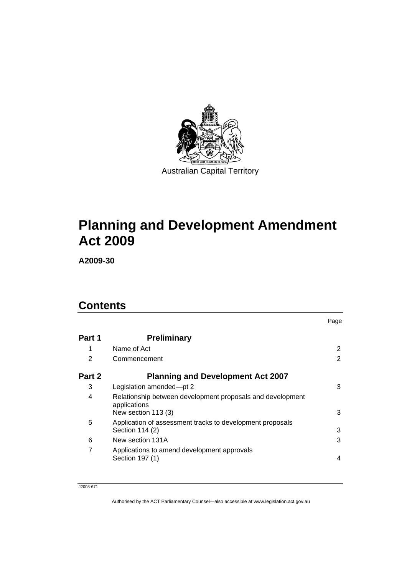

# **[Planning and Development Amendment](#page-4-0)  [Act 2009](#page-4-0)**

**A2009-30** 

## **Contents**

|        |                                                                                                   | Page |
|--------|---------------------------------------------------------------------------------------------------|------|
| Part 1 | <b>Preliminary</b>                                                                                |      |
| 1      | Name of Act                                                                                       | 2    |
| 2      | Commencement                                                                                      | 2    |
| Part 2 | <b>Planning and Development Act 2007</b>                                                          |      |
| 3      | Legislation amended-pt 2                                                                          | 3    |
| 4      | Relationship between development proposals and development<br>applications<br>New section 113 (3) | 3    |
| 5      | Application of assessment tracks to development proposals<br>Section 114 (2)                      | 3    |
| 6      | New section 131A                                                                                  | 3    |
| 7      | Applications to amend development approvals<br>Section 197 (1)                                    | 4    |

J2008-671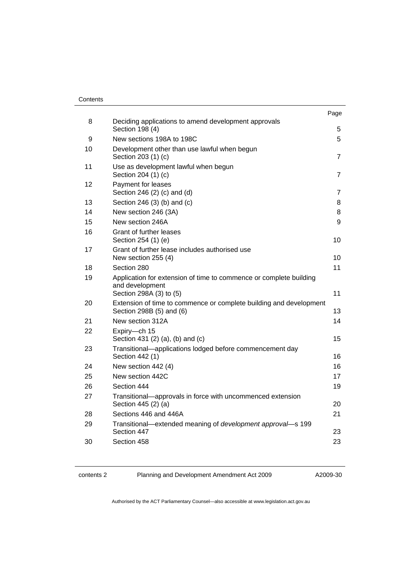#### **Contents**

|    |                                                                                                                  | Page           |
|----|------------------------------------------------------------------------------------------------------------------|----------------|
| 8  | Deciding applications to amend development approvals<br>Section 198 (4)                                          | 5              |
| 9  | New sections 198A to 198C                                                                                        | 5              |
| 10 | Development other than use lawful when begun<br>Section 203 (1) (c)                                              | $\overline{7}$ |
| 11 | Use as development lawful when begun<br>Section 204 (1) (c)                                                      | $\overline{7}$ |
| 12 | Payment for leases<br>Section 246 (2) (c) and (d)                                                                | $\overline{7}$ |
| 13 | Section 246 (3) (b) and (c)                                                                                      | 8              |
| 14 | New section 246 (3A)                                                                                             | 8              |
| 15 | New section 246A                                                                                                 | 9              |
| 16 | Grant of further leases<br>Section 254 (1) (e)                                                                   | 10             |
| 17 | Grant of further lease includes authorised use<br>New section 255 (4)                                            | 10             |
| 18 | Section 280                                                                                                      | 11             |
| 19 | Application for extension of time to commence or complete building<br>and development<br>Section 298A (3) to (5) | 11             |
| 20 | Extension of time to commence or complete building and development<br>Section 298B (5) and (6)                   | 13             |
| 21 | New section 312A                                                                                                 | 14             |
| 22 | Expiry-ch 15<br>Section 431 (2) (a), (b) and (c)                                                                 | 15             |
| 23 | Transitional-applications lodged before commencement day<br>Section 442 (1)                                      | 16             |
| 24 | New section 442 (4)                                                                                              | 16             |
| 25 | New section 442C                                                                                                 | 17             |
| 26 | Section 444                                                                                                      | 19             |
| 27 | Transitional-approvals in force with uncommenced extension<br>Section 445 (2) (a)                                | 20             |
| 28 | Sections 446 and 446A                                                                                            | 21             |
| 29 | Transitional-extended meaning of development approval-s 199<br>Section 447                                       | 23             |
| 30 | Section 458                                                                                                      | 23             |
|    |                                                                                                                  |                |

contents 2 Planning and Development Amendment Act 2009

A2009-30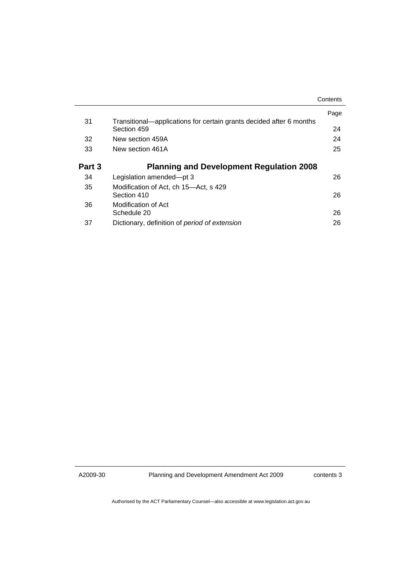|        |                                                                     | Contents |
|--------|---------------------------------------------------------------------|----------|
| 31     | Transitional—applications for certain grants decided after 6 months | Page     |
|        | Section 459                                                         | 24       |
| 32     | New section 459A                                                    | 24       |
| 33     | New section 461A                                                    | 25       |
| Part 3 | <b>Planning and Development Regulation 2008</b>                     |          |
| 34     | Legislation amended-pt 3                                            | 26       |
| 35     | Modification of Act, ch 15—Act, s 429                               |          |
|        | Section 410                                                         | 26       |
| 36     | Modification of Act                                                 |          |
|        | Schedule 20                                                         | 26       |
| 37     | Dictionary, definition of period of extension                       | 26       |

A2009-30

Planning and Development Amendment Act 2009

contents 3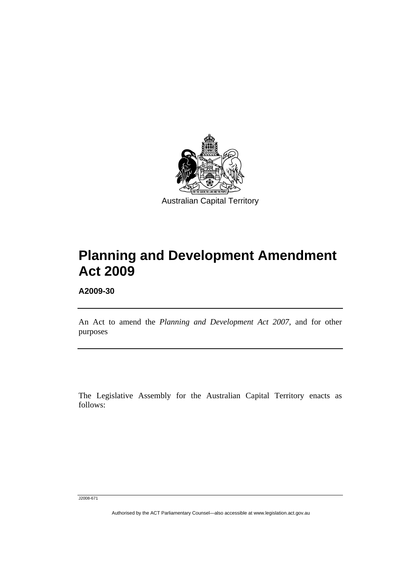<span id="page-4-0"></span>

# **Planning and Development Amendment Act 2009**

**A2009-30** 

l

An Act to amend the *Planning and Development Act 2007*, and for other purposes

The Legislative Assembly for the Australian Capital Territory enacts as follows:

J2008-671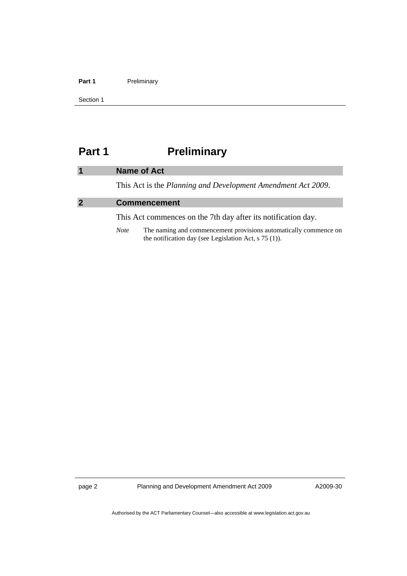#### <span id="page-5-0"></span>Part 1 **Preliminary**

Section 1

## **Part 1** Preliminary

|                | <b>Name of Act</b>                                            |
|----------------|---------------------------------------------------------------|
|                | This Act is the Planning and Development Amendment Act 2009.  |
| $\overline{2}$ | <b>Commencement</b>                                           |
|                | This Act commences on the 7th day after its notification day. |

*Note* The naming and commencement provisions automatically commence on the notification day (see Legislation Act, s 75 (1)).

page 2 Planning and Development Amendment Act 2009

A2009-30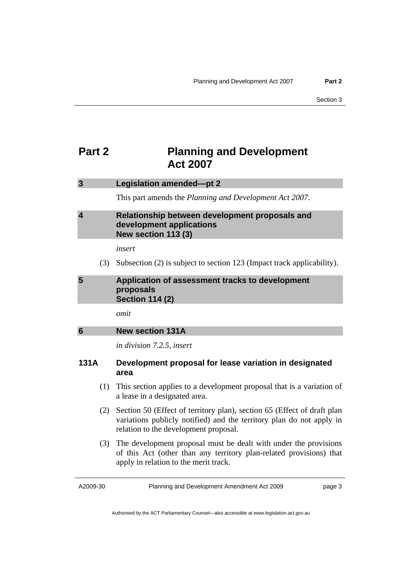## <span id="page-6-0"></span>**Part 2** Planning and Development **Act 2007**

| 3                       | Legislation amended-pt 2                                                                               |
|-------------------------|--------------------------------------------------------------------------------------------------------|
|                         | This part amends the Planning and Development Act 2007.                                                |
| $\overline{\mathbf{4}}$ | Relationship between development proposals and<br>development applications<br>New section 113 (3)      |
|                         | insert                                                                                                 |
| (3)                     | Subsection (2) is subject to section 123 (Impact track applicability).                                 |
| 5                       | Application of assessment tracks to development<br>proposals<br><b>Section 114 (2)</b>                 |
|                         | omit                                                                                                   |
| 6                       | <b>New section 131A</b>                                                                                |
|                         | in division 7.2.5, insert                                                                              |
| 131A                    | Development proposal for lease variation in designated<br>area                                         |
| (1)                     | This section applies to a development proposal that is a variation of<br>a lease in a designated area. |
| (2)                     | Section 50 (Effect of territory plan), section 65 (Effect of draft plan                                |

- variations publicly notified) and the territory plan do not apply in relation to the development proposal.
- (3) The development proposal must be dealt with under the provisions of this Act (other than any territory plan-related provisions) that apply in relation to the merit track.

A2009-30

Planning and Development Amendment Act 2009

page 3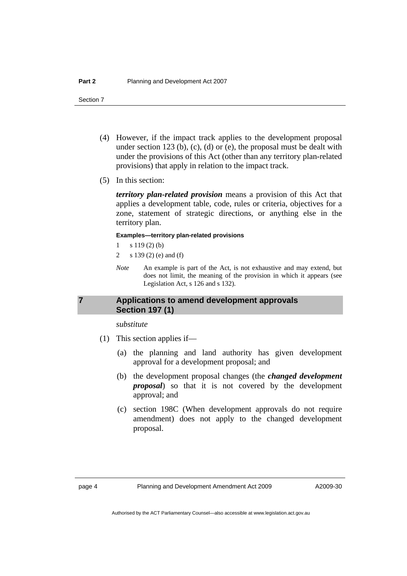- <span id="page-7-0"></span> (4) However, if the impact track applies to the development proposal under section 123 (b), (c), (d) or (e), the proposal must be dealt with under the provisions of this Act (other than any territory plan-related provisions) that apply in relation to the impact track.
- (5) In this section:

*territory plan-related provision* means a provision of this Act that applies a development table, code, rules or criteria, objectives for a zone, statement of strategic directions, or anything else in the territory plan.

#### **Examples—territory plan-related provisions**

- $1 \t s 119(2) (b)$
- 2 s 139 (2) (e) and (f)
- *Note* An example is part of the Act, is not exhaustive and may extend, but does not limit, the meaning of the provision in which it appears (see Legislation Act, s 126 and s 132).

## **7 Applications to amend development approvals Section 197 (1)**

*substitute* 

- (1) This section applies if—
	- (a) the planning and land authority has given development approval for a development proposal; and
	- (b) the development proposal changes (the *changed development proposal*) so that it is not covered by the development approval; and
	- (c) section 198C (When development approvals do not require amendment) does not apply to the changed development proposal.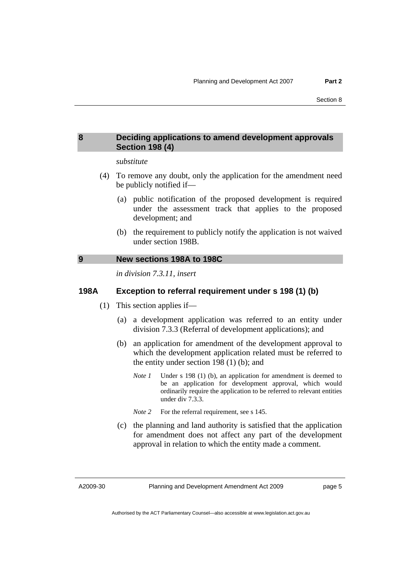## <span id="page-8-0"></span>**8 Deciding applications to amend development approvals Section 198 (4)**

#### *substitute*

- (4) To remove any doubt, only the application for the amendment need be publicly notified if—
	- (a) public notification of the proposed development is required under the assessment track that applies to the proposed development; and
	- (b) the requirement to publicly notify the application is not waived under section 198B.

#### **9 New sections 198A to 198C**

*in division 7.3.11, insert* 

## **198A Exception to referral requirement under s 198 (1) (b)**

- (1) This section applies if—
	- (a) a development application was referred to an entity under division 7.3.3 (Referral of development applications); and
	- (b) an application for amendment of the development approval to which the development application related must be referred to the entity under section 198 (1) (b); and
		- *Note 1* Under s 198 (1) (b), an application for amendment is deemed to be an application for development approval, which would ordinarily require the application to be referred to relevant entities under div 7.3.3.
		- *Note* 2 For the referral requirement, see s 145.
	- (c) the planning and land authority is satisfied that the application for amendment does not affect any part of the development approval in relation to which the entity made a comment.

A2009-30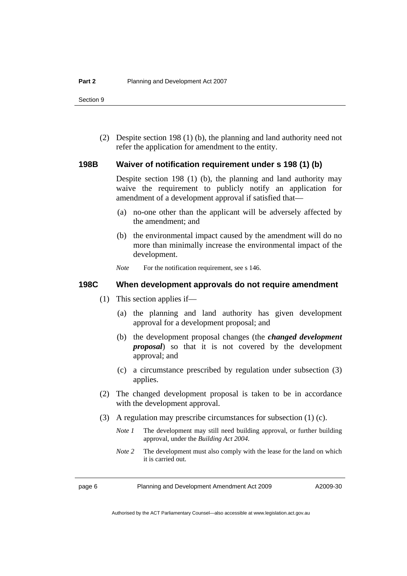(2) Despite section 198 (1) (b), the planning and land authority need not refer the application for amendment to the entity.

## **198B Waiver of notification requirement under s 198 (1) (b)**

Despite section 198 (1) (b), the planning and land authority may waive the requirement to publicly notify an application for amendment of a development approval if satisfied that—

- (a) no-one other than the applicant will be adversely affected by the amendment; and
- (b) the environmental impact caused by the amendment will do no more than minimally increase the environmental impact of the development.
- *Note* For the notification requirement, see s 146.

## **198C When development approvals do not require amendment**

- (1) This section applies if—
	- (a) the planning and land authority has given development approval for a development proposal; and
	- (b) the development proposal changes (the *changed development proposal*) so that it is not covered by the development approval; and
	- (c) a circumstance prescribed by regulation under subsection (3) applies.
- (2) The changed development proposal is taken to be in accordance with the development approval.
- (3) A regulation may prescribe circumstances for subsection (1) (c).
	- *Note 1* The development may still need building approval, or further building approval, under the *Building Act 2004*.
	- *Note* 2 The development must also comply with the lease for the land on which it is carried out.

page 6 Planning and Development Amendment Act 2009

Authorised by the ACT Parliamentary Counsel—also accessible at www.legislation.act.gov.au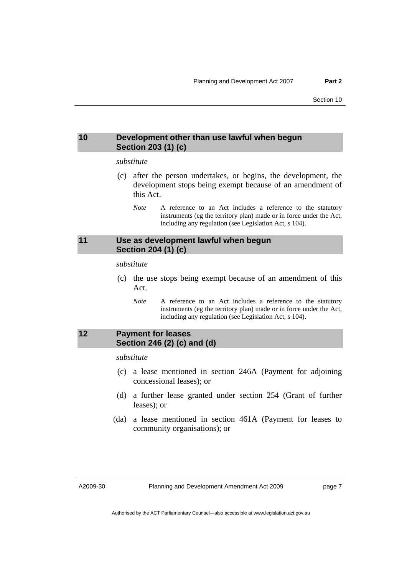## <span id="page-10-0"></span>**10 Development other than use lawful when begun Section 203 (1) (c)**

#### *substitute*

- (c) after the person undertakes, or begins, the development, the development stops being exempt because of an amendment of this Act.
	- *Note* A reference to an Act includes a reference to the statutory instruments (eg the territory plan) made or in force under the Act, including any regulation (see Legislation Act, s 104).

## **11 Use as development lawful when begun Section 204 (1) (c)**

*substitute* 

- (c) the use stops being exempt because of an amendment of this Act.
	- *Note* A reference to an Act includes a reference to the statutory instruments (eg the territory plan) made or in force under the Act, including any regulation (see Legislation Act, s 104).

## **12 Payment for leases Section 246 (2) (c) and (d)**

*substitute* 

- (c) a lease mentioned in section 246A (Payment for adjoining concessional leases); or
- (d) a further lease granted under section 254 (Grant of further leases); or
- (da) a lease mentioned in section 461A (Payment for leases to community organisations); or

A2009-30

page 7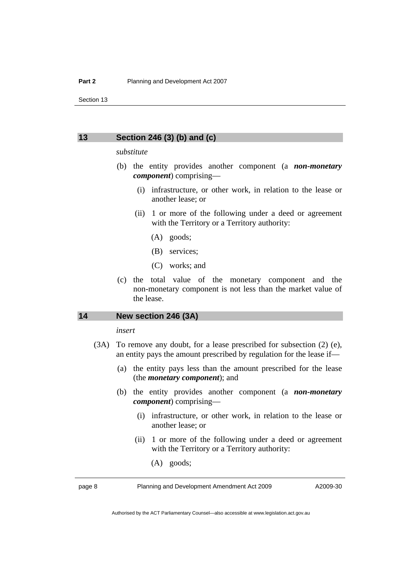#### <span id="page-11-0"></span>**13 Section 246 (3) (b) and (c)**

#### *substitute*

- (b) the entity provides another component (a *non-monetary component*) comprising—
	- (i) infrastructure, or other work, in relation to the lease or another lease; or
	- (ii) 1 or more of the following under a deed or agreement with the Territory or a Territory authority:
		- (A) goods;
		- (B) services;
		- (C) works; and
- (c) the total value of the monetary component and the non-monetary component is not less than the market value of the lease.

## **14 New section 246 (3A)**

#### *insert*

- (3A) To remove any doubt, for a lease prescribed for subsection (2) (e), an entity pays the amount prescribed by regulation for the lease if—
	- (a) the entity pays less than the amount prescribed for the lease (the *monetary component*); and
	- (b) the entity provides another component (a *non-monetary component*) comprising—
		- (i) infrastructure, or other work, in relation to the lease or another lease; or
		- (ii) 1 or more of the following under a deed or agreement with the Territory or a Territory authority:
			- (A) goods;

page 8 Planning and Development Amendment Act 2009

Authorised by the ACT Parliamentary Counsel—also accessible at www.legislation.act.gov.au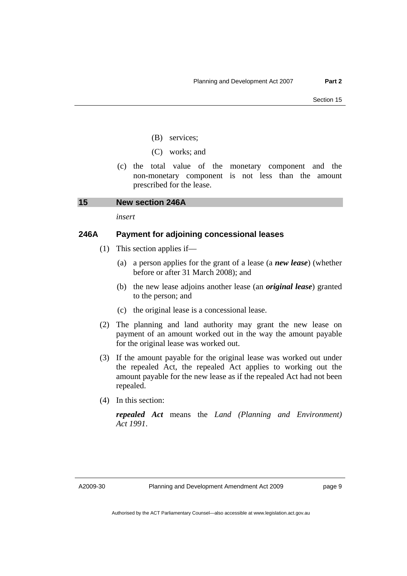- (B) services;
- (C) works; and
- <span id="page-12-0"></span> (c) the total value of the monetary component and the non-monetary component is not less than the amount prescribed for the lease.

## **15 New section 246A**

*insert* 

## **246A Payment for adjoining concessional leases**

- (1) This section applies if—
	- (a) a person applies for the grant of a lease (a *new lease*) (whether before or after 31 March 2008); and
	- (b) the new lease adjoins another lease (an *original lease*) granted to the person; and
	- (c) the original lease is a concessional lease.
- (2) The planning and land authority may grant the new lease on payment of an amount worked out in the way the amount payable for the original lease was worked out.
- (3) If the amount payable for the original lease was worked out under the repealed Act, the repealed Act applies to working out the amount payable for the new lease as if the repealed Act had not been repealed.
- (4) In this section:

*repealed Act* means the *Land (Planning and Environment) Act 1991*.

A2009-30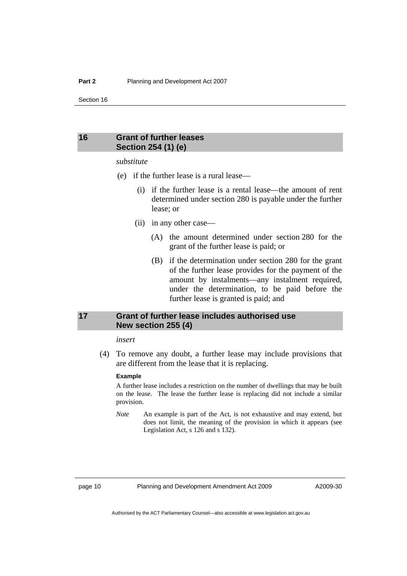## <span id="page-13-0"></span>**16 Grant of further leases Section 254 (1) (e)**

#### *substitute*

- (e) if the further lease is a rural lease—
	- (i) if the further lease is a rental lease—the amount of rent determined under section 280 is payable under the further lease; or
	- (ii) in any other case—
		- (A) the amount determined under section 280 for the grant of the further lease is paid; or
		- (B) if the determination under section 280 for the grant of the further lease provides for the payment of the amount by instalments—any instalment required, under the determination, to be paid before the further lease is granted is paid; and

## **17 Grant of further lease includes authorised use New section 255 (4)**

#### *insert*

 (4) To remove any doubt, a further lease may include provisions that are different from the lease that it is replacing.

#### **Example**

A further lease includes a restriction on the number of dwellings that may be built on the lease. The lease the further lease is replacing did not include a similar provision.

*Note* An example is part of the Act, is not exhaustive and may extend, but does not limit, the meaning of the provision in which it appears (see Legislation Act, s 126 and s 132).

page 10 Planning and Development Amendment Act 2009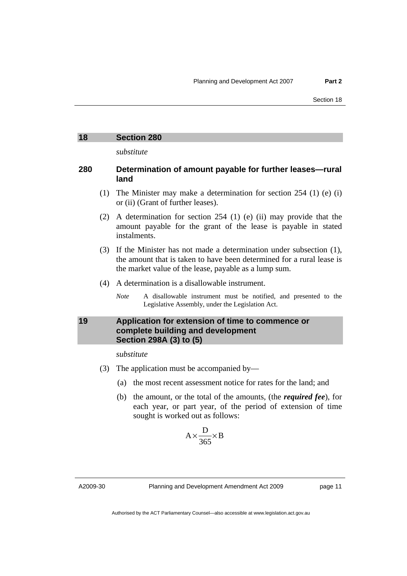*substitute* 

## <span id="page-14-0"></span>**280 Determination of amount payable for further leases—rural land**

- (1) The Minister may make a determination for section 254 (1) (e) (i) or (ii) (Grant of further leases).
- (2) A determination for section 254 (1) (e) (ii) may provide that the amount payable for the grant of the lease is payable in stated instalments.
- (3) If the Minister has not made a determination under subsection (1), the amount that is taken to have been determined for a rural lease is the market value of the lease, payable as a lump sum.
- (4) A determination is a disallowable instrument.
	- *Note* A disallowable instrument must be notified, and presented to the Legislative Assembly, under the Legislation Act.

## **19 Application for extension of time to commence or complete building and development Section 298A (3) to (5)**

*substitute* 

- (3) The application must be accompanied by—
	- (a) the most recent assessment notice for rates for the land; and
	- (b) the amount, or the total of the amounts, (the *required fee*), for each year, or part year, of the period of extension of time sought is worked out as follows:

$$
A \times \frac{D}{365} \times B
$$

A2009-30

Planning and Development Amendment Act 2009

page 11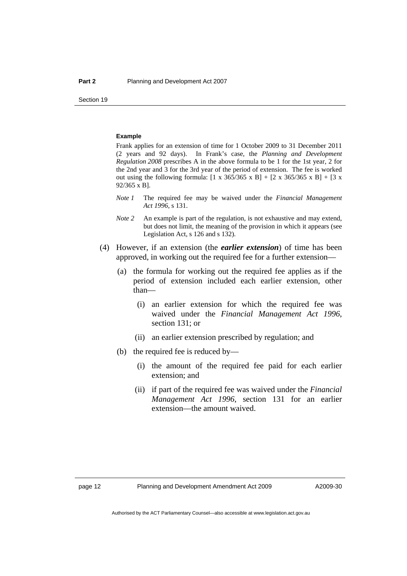#### **Example**

Frank applies for an extension of time for 1 October 2009 to 31 December 2011 (2 years and 92 days). In Frank's case, the *Planning and Development Regulation 2008* prescribes A in the above formula to be 1 for the 1st year, 2 for the 2nd year and 3 for the 3rd year of the period of extension. The fee is worked out using the following formula:  $[1 \times 365/365 \times B] + [2 \times 365/365 \times B] + [3 \times$ 92/365 x B].

- *Note 1* The required fee may be waived under the *Financial Management Act 1996*, s 131.
- *Note 2* An example is part of the regulation, is not exhaustive and may extend, but does not limit, the meaning of the provision in which it appears (see Legislation Act, s 126 and s 132).
- (4) However, if an extension (the *earlier extension*) of time has been approved, in working out the required fee for a further extension—
	- (a) the formula for working out the required fee applies as if the period of extension included each earlier extension, other than—
		- (i) an earlier extension for which the required fee was waived under the *Financial Management Act 1996*, section 131; or
		- (ii) an earlier extension prescribed by regulation; and
	- (b) the required fee is reduced by—
		- (i) the amount of the required fee paid for each earlier extension; and
		- (ii) if part of the required fee was waived under the *Financial Management Act 1996*, section 131 for an earlier extension—the amount waived.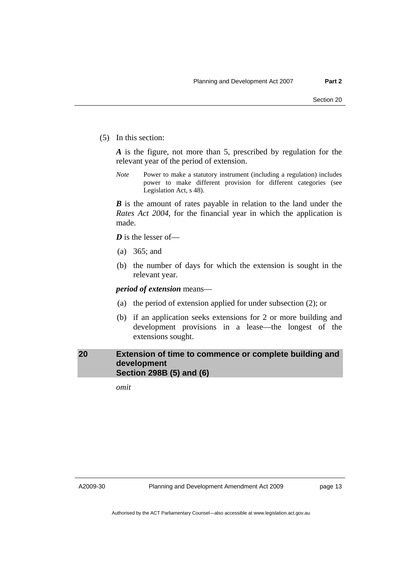<span id="page-16-0"></span>(5) In this section:

*A* is the figure, not more than 5, prescribed by regulation for the relevant year of the period of extension.

*Note* Power to make a statutory instrument (including a regulation) includes power to make different provision for different categories (see Legislation Act, s 48).

*B* is the amount of rates payable in relation to the land under the *Rates Act 2004*, for the financial year in which the application is made.

*D* is the lesser of—

- (a) 365; and
- (b) the number of days for which the extension is sought in the relevant year.

*period of extension* means—

- (a) the period of extension applied for under subsection (2); or
- (b) if an application seeks extensions for 2 or more building and development provisions in a lease—the longest of the extensions sought.

## **20 Extension of time to commence or complete building and development Section 298B (5) and (6)**

*omit* 

A2009-30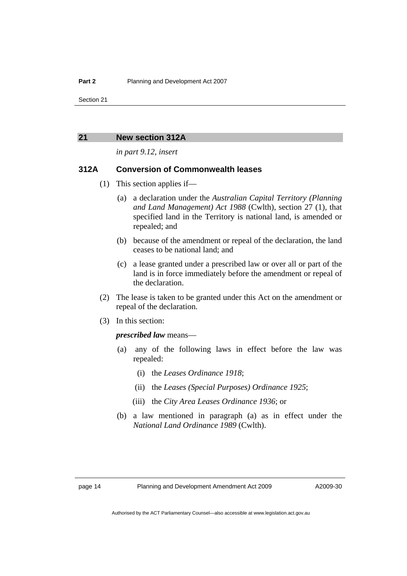#### <span id="page-17-0"></span>**21 New section 312A**

*in part 9.12, insert* 

## **312A Conversion of Commonwealth leases**

- (1) This section applies if—
	- (a) a declaration under the *Australian Capital Territory (Planning and Land Management) Act 1988* (Cwlth), section 27 (1), that specified land in the Territory is national land, is amended or repealed; and
	- (b) because of the amendment or repeal of the declaration, the land ceases to be national land; and
	- (c) a lease granted under a prescribed law or over all or part of the land is in force immediately before the amendment or repeal of the declaration.
- (2) The lease is taken to be granted under this Act on the amendment or repeal of the declaration.
- (3) In this section:

#### *prescribed law* means—

- (a) any of the following laws in effect before the law was repealed:
	- (i) the *Leases Ordinance 1918*;
	- (ii) the *Leases (Special Purposes) Ordinance 1925*;
	- (iii) the *City Area Leases Ordinance 1936*; or
- (b) a law mentioned in paragraph (a) as in effect under the *National Land Ordinance 1989* (Cwlth).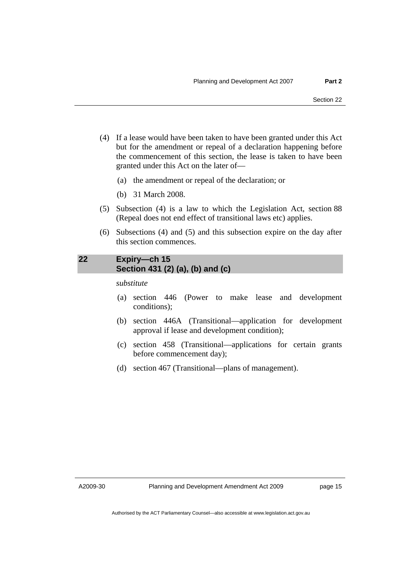- <span id="page-18-0"></span> (4) If a lease would have been taken to have been granted under this Act but for the amendment or repeal of a declaration happening before the commencement of this section, the lease is taken to have been granted under this Act on the later of—
	- (a) the amendment or repeal of the declaration; or
	- (b) 31 March 2008.
- (5) Subsection (4) is a law to which the Legislation Act, section 88 (Repeal does not end effect of transitional laws etc) applies.
- (6) Subsections (4) and (5) and this subsection expire on the day after this section commences.

## **22 Expiry—ch 15 Section 431 (2) (a), (b) and (c)**

*substitute* 

- (a) section 446 (Power to make lease and development conditions);
- (b) section 446A (Transitional—application for development approval if lease and development condition);
- (c) section 458 (Transitional—applications for certain grants before commencement day);
- (d) section 467 (Transitional—plans of management).

A2009-30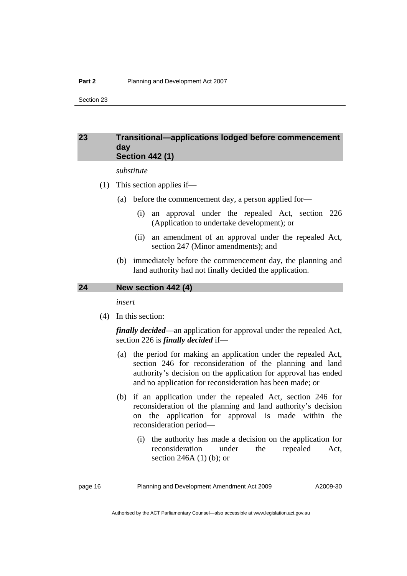## <span id="page-19-0"></span>**23 Transitional—applications lodged before commencement day Section 442 (1)**

*substitute* 

- (1) This section applies if—
	- (a) before the commencement day, a person applied for—
		- (i) an approval under the repealed Act, section 226 (Application to undertake development); or
		- (ii) an amendment of an approval under the repealed Act, section 247 (Minor amendments); and
	- (b) immediately before the commencement day, the planning and land authority had not finally decided the application.

## **24 New section 442 (4)**

*insert* 

(4) In this section:

*finally decided*—an application for approval under the repealed Act, section 226 is *finally decided* if—

- (a) the period for making an application under the repealed Act, section 246 for reconsideration of the planning and land authority's decision on the application for approval has ended and no application for reconsideration has been made; or
- (b) if an application under the repealed Act, section 246 for reconsideration of the planning and land authority's decision on the application for approval is made within the reconsideration period—
	- (i) the authority has made a decision on the application for reconsideration under the repealed Act, section 246A (1) (b); or

page 16 Planning and Development Amendment Act 2009

A2009-30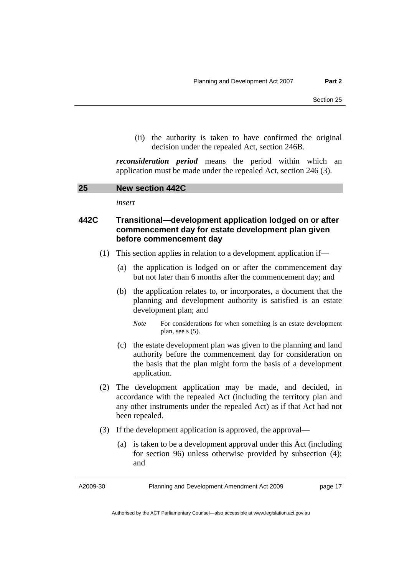<span id="page-20-0"></span> (ii) the authority is taken to have confirmed the original decision under the repealed Act, section 246B.

*reconsideration period* means the period within which an application must be made under the repealed Act, section 246 (3).

| 25<br><b>New section 442C</b> |  |
|-------------------------------|--|
|-------------------------------|--|

*insert* 

## **442C Transitional—development application lodged on or after commencement day for estate development plan given before commencement day**

- (1) This section applies in relation to a development application if—
	- (a) the application is lodged on or after the commencement day but not later than 6 months after the commencement day; and
	- (b) the application relates to, or incorporates, a document that the planning and development authority is satisfied is an estate development plan; and
		- *Note* For considerations for when something is an estate development plan, see s (5).
	- (c) the estate development plan was given to the planning and land authority before the commencement day for consideration on the basis that the plan might form the basis of a development application.
- (2) The development application may be made, and decided, in accordance with the repealed Act (including the territory plan and any other instruments under the repealed Act) as if that Act had not been repealed.
- (3) If the development application is approved, the approval—
	- (a) is taken to be a development approval under this Act (including for section 96) unless otherwise provided by subsection (4); and

A2009-30

Planning and Development Amendment Act 2009

page 17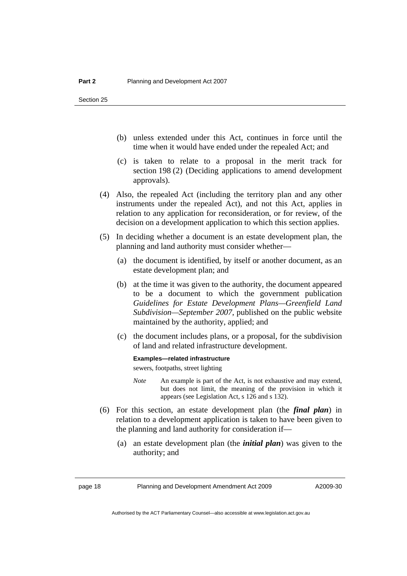- (b) unless extended under this Act, continues in force until the time when it would have ended under the repealed Act; and
- (c) is taken to relate to a proposal in the merit track for section 198 (2) (Deciding applications to amend development approvals).
- (4) Also, the repealed Act (including the territory plan and any other instruments under the repealed Act), and not this Act, applies in relation to any application for reconsideration, or for review, of the decision on a development application to which this section applies.
- (5) In deciding whether a document is an estate development plan, the planning and land authority must consider whether—
	- (a) the document is identified, by itself or another document, as an estate development plan; and
	- (b) at the time it was given to the authority, the document appeared to be a document to which the government publication *Guidelines for Estate Development Plans—Greenfield Land Subdivision—September 2007*, published on the public website maintained by the authority, applied; and
	- (c) the document includes plans, or a proposal, for the subdivision of land and related infrastructure development.

#### **Examples—related infrastructure**

sewers, footpaths, street lighting

- *Note* An example is part of the Act, is not exhaustive and may extend, but does not limit, the meaning of the provision in which it appears (see Legislation Act, s 126 and s 132).
- (6) For this section, an estate development plan (the *final plan*) in relation to a development application is taken to have been given to the planning and land authority for consideration if—
	- (a) an estate development plan (the *initial plan*) was given to the authority; and

page 18 Planning and Development Amendment Act 2009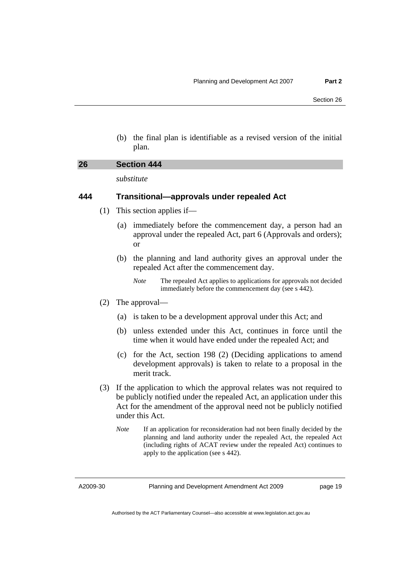(b) the final plan is identifiable as a revised version of the initial plan.

<span id="page-22-0"></span>

| 26 | Section 444 |  |
|----|-------------|--|
|    |             |  |

*substitute* 

## **444 Transitional—approvals under repealed Act**

- (1) This section applies if—
	- (a) immediately before the commencement day, a person had an approval under the repealed Act, part 6 (Approvals and orders); or
	- (b) the planning and land authority gives an approval under the repealed Act after the commencement day.
		- *Note* The repealed Act applies to applications for approvals not decided immediately before the commencement day (see s 442).
- (2) The approval—
	- (a) is taken to be a development approval under this Act; and
	- (b) unless extended under this Act, continues in force until the time when it would have ended under the repealed Act; and
	- (c) for the Act, section 198 (2) (Deciding applications to amend development approvals) is taken to relate to a proposal in the merit track.
- (3) If the application to which the approval relates was not required to be publicly notified under the repealed Act, an application under this Act for the amendment of the approval need not be publicly notified under this Act.
	- *Note* If an application for reconsideration had not been finally decided by the planning and land authority under the repealed Act, the repealed Act (including rights of ACAT review under the repealed Act) continues to apply to the application (see s 442).

A2009-30

page 19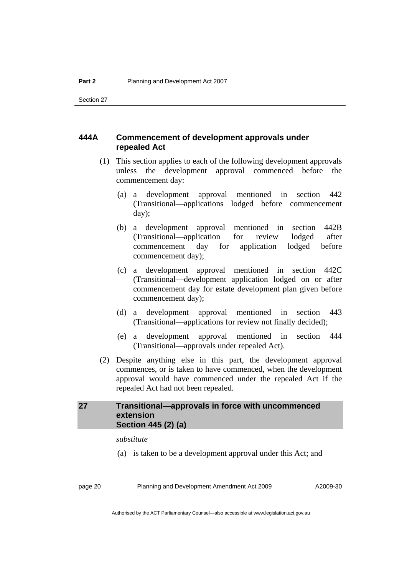## <span id="page-23-0"></span>**444A Commencement of development approvals under repealed Act**

- (1) This section applies to each of the following development approvals unless the development approval commenced before the commencement day:
	- (a) a development approval mentioned in section 442 (Transitional—applications lodged before commencement day);
	- (b) a development approval mentioned in section 442B (Transitional—application for review lodged after commencement day for application lodged before commencement day);
	- (c) a development approval mentioned in section 442C (Transitional—development application lodged on or after commencement day for estate development plan given before commencement day);
	- (d) a development approval mentioned in section 443 (Transitional—applications for review not finally decided);
	- (e) a development approval mentioned in section 444 (Transitional—approvals under repealed Act).
- (2) Despite anything else in this part, the development approval commences, or is taken to have commenced, when the development approval would have commenced under the repealed Act if the repealed Act had not been repealed.

## **27 Transitional—approvals in force with uncommenced extension Section 445 (2) (a)**

*substitute* 

(a) is taken to be a development approval under this Act; and

page 20 Planning and Development Amendment Act 2009

A2009-30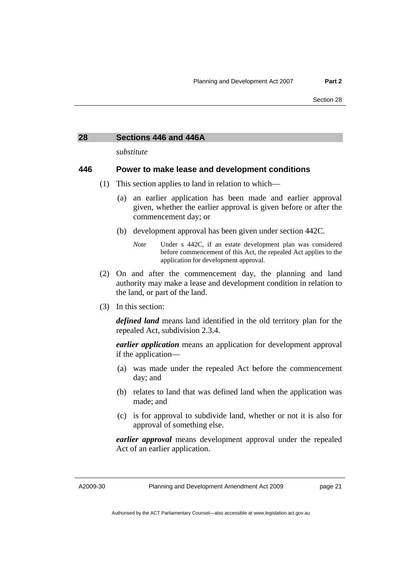#### <span id="page-24-0"></span>**28 Sections 446 and 446A**

*substitute* 

## **446 Power to make lease and development conditions**

- (1) This section applies to land in relation to which—
	- (a) an earlier application has been made and earlier approval given, whether the earlier approval is given before or after the commencement day; or
	- (b) development approval has been given under section 442C.
		- *Note* Under s 442C, if an estate development plan was considered before commencement of this Act, the repealed Act applies to the application for development approval.
- (2) On and after the commencement day, the planning and land authority may make a lease and development condition in relation to the land, or part of the land.
- (3) In this section:

*defined land* means land identified in the old territory plan for the repealed Act, subdivision 2.3.4.

*earlier application* means an application for development approval if the application—

- (a) was made under the repealed Act before the commencement day; and
- (b) relates to land that was defined land when the application was made; and
- (c) is for approval to subdivide land, whether or not it is also for approval of something else.

*earlier approval* means development approval under the repealed Act of an earlier application.

A2009-30

Planning and Development Amendment Act 2009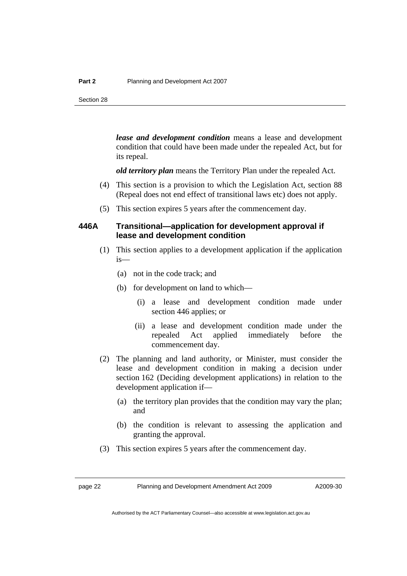*lease and development condition* means a lease and development condition that could have been made under the repealed Act, but for its repeal.

*old territory plan* means the Territory Plan under the repealed Act.

- (4) This section is a provision to which the Legislation Act, section 88 (Repeal does not end effect of transitional laws etc) does not apply.
- (5) This section expires 5 years after the commencement day.

## **446A Transitional—application for development approval if lease and development condition**

- (1) This section applies to a development application if the application is—
	- (a) not in the code track; and
	- (b) for development on land to which—
		- (i) a lease and development condition made under section 446 applies; or
		- (ii) a lease and development condition made under the repealed Act applied immediately before the commencement day.
- (2) The planning and land authority, or Minister, must consider the lease and development condition in making a decision under section 162 (Deciding development applications) in relation to the development application if—
	- (a) the territory plan provides that the condition may vary the plan; and
	- (b) the condition is relevant to assessing the application and granting the approval.
- (3) This section expires 5 years after the commencement day.

page 22 Planning and Development Amendment Act 2009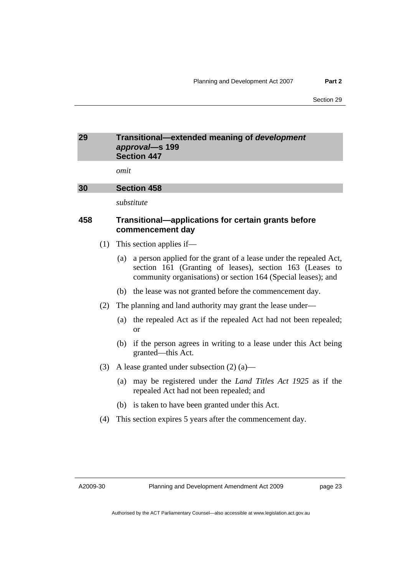## <span id="page-26-0"></span>**29 Transitional—extended meaning of** *development approval***—s 199 Section 447**

*omit* 

## **30 Section 458**

*substitute* 

## **458 Transitional—applications for certain grants before commencement day**

- (1) This section applies if—
	- (a) a person applied for the grant of a lease under the repealed Act, section 161 (Granting of leases), section 163 (Leases to community organisations) or section 164 (Special leases); and
	- (b) the lease was not granted before the commencement day.
- (2) The planning and land authority may grant the lease under—
	- (a) the repealed Act as if the repealed Act had not been repealed; or
	- (b) if the person agrees in writing to a lease under this Act being granted—this Act.
- (3) A lease granted under subsection (2) (a)—
	- (a) may be registered under the *Land Titles Act 1925* as if the repealed Act had not been repealed; and
	- (b) is taken to have been granted under this Act.
- (4) This section expires 5 years after the commencement day.

A2009-30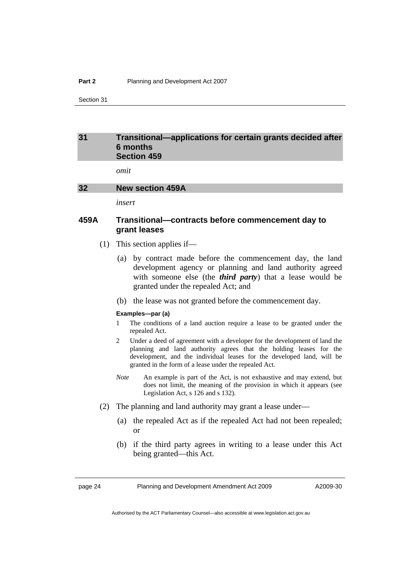#### <span id="page-27-0"></span>**Part 2** Planning and Development Act 2007

Section 31

#### **31 Transitional—applications for certain grants decided after 6 months Section 459**

*omit* 

#### **32 New section 459A**

*insert* 

## **459A Transitional—contracts before commencement day to grant leases**

- (1) This section applies if—
	- (a) by contract made before the commencement day, the land development agency or planning and land authority agreed with someone else (the *third party*) that a lease would be granted under the repealed Act; and
	- (b) the lease was not granted before the commencement day.

#### **Examples—par (a)**

- 1 The conditions of a land auction require a lease to be granted under the repealed Act.
- 2 Under a deed of agreement with a developer for the development of land the planning and land authority agrees that the holding leases for the development, and the individual leases for the developed land, will be granted in the form of a lease under the repealed Act.
- *Note* An example is part of the Act, is not exhaustive and may extend, but does not limit, the meaning of the provision in which it appears (see Legislation Act, s 126 and s 132).
- (2) The planning and land authority may grant a lease under—
	- (a) the repealed Act as if the repealed Act had not been repealed; or
	- (b) if the third party agrees in writing to a lease under this Act being granted—this Act.

page 24 Planning and Development Amendment Act 2009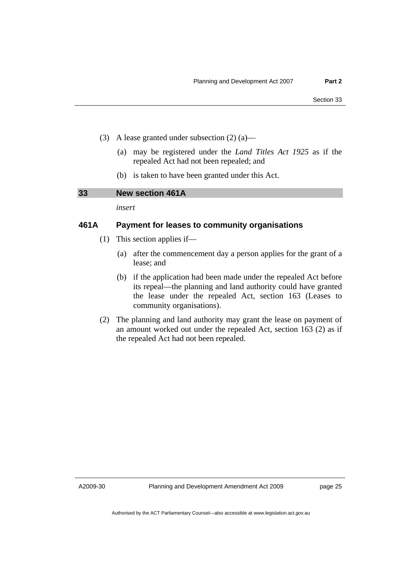- <span id="page-28-0"></span> (3) A lease granted under subsection (2) (a)—
	- (a) may be registered under the *Land Titles Act 1925* as if the repealed Act had not been repealed; and
	- (b) is taken to have been granted under this Act.

## **33 New section 461A**

*insert* 

## **461A Payment for leases to community organisations**

- (1) This section applies if—
	- (a) after the commencement day a person applies for the grant of a lease; and
	- (b) if the application had been made under the repealed Act before its repeal—the planning and land authority could have granted the lease under the repealed Act, section 163 (Leases to community organisations).
- (2) The planning and land authority may grant the lease on payment of an amount worked out under the repealed Act, section 163 (2) as if the repealed Act had not been repealed.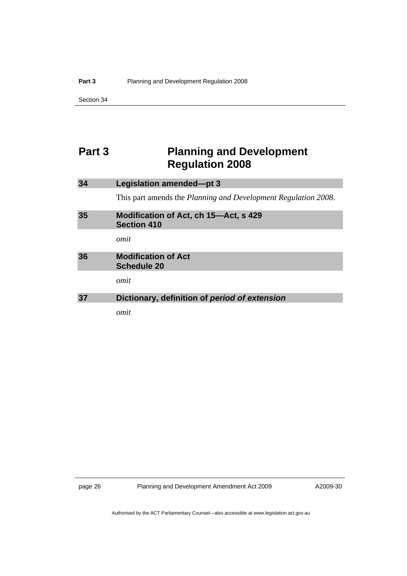## <span id="page-29-0"></span>**Part 3** Planning and Development **Regulation 2008**

| 34 | Legislation amended-pt 3                                       |
|----|----------------------------------------------------------------|
|    | This part amends the Planning and Development Regulation 2008. |
| 35 | Modification of Act, ch 15—Act, s 429<br><b>Section 410</b>    |
|    | omit                                                           |
| 36 | <b>Modification of Act</b><br><b>Schedule 20</b>               |
|    | omit                                                           |
| 37 | Dictionary, definition of period of extension                  |
|    | omit                                                           |

page 26 Planning and Development Amendment Act 2009

A2009-30